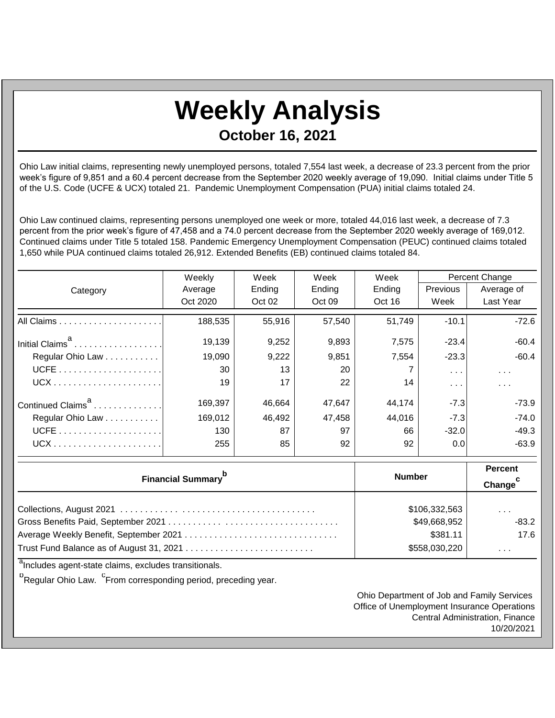## **Weekly Analysis October 16, 2021**

Ohio Law initial claims, representing newly unemployed persons, totaled 7,554 last week, a decrease of 23.3 percent from the prior week's figure of 9,851 and a 60.4 percent decrease from the September 2020 weekly average of 19,090. Initial claims under Title 5 of the U.S. Code (UCFE & UCX) totaled 21. Pandemic Unemployment Compensation (PUA) initial claims totaled 24.

Ohio Law continued claims, representing persons unemployed one week or more, totaled 44,016 last week, a decrease of 7.3 percent from the prior week's figure of 47,458 and a 74.0 percent decrease from the September 2020 weekly average of 169,012. Continued claims under Title 5 totaled 158. Pandemic Emergency Unemployment Compensation (PEUC) continued claims totaled 1,650 while PUA continued claims totaled 26,912. Extended Benefits (EB) continued claims totaled 84.

|                               | Weekly   | Week   | Week   | Week   | Percent Change          |                         |
|-------------------------------|----------|--------|--------|--------|-------------------------|-------------------------|
| Category                      | Average  | Ending | Ending | Ending | <b>Previous</b>         | Average of              |
|                               | Oct 2020 | Oct 02 | Oct 09 | Oct 16 | Week                    | Last Year               |
|                               | 188,535  | 55,916 | 57,540 | 51,749 | $-10.1$                 | $-72.6$                 |
| Initial Claims <sup>a</sup>   | 19,139   | 9,252  | 9,893  | 7,575  | $-23.4$                 | $-60.4$                 |
| Regular Ohio Law              | 19,090   | 9,222  | 9,851  | 7,554  | $-23.3$                 | $-60.4$                 |
|                               | 30       | 13     | 20     |        | $\sim 100$ km s $^{-1}$ | $\sim 100$ km s $^{-1}$ |
|                               | 19       | 17     | 22     | 14     | $\sim$ $\sim$ $\sim$    | $\sim$ $\sim$ $\sim$    |
| Continued Claims <sup>a</sup> | 169,397  | 46.664 | 47,647 | 44.174 | $-7.3$                  | -73.9                   |
| Regular Ohio Law              | 169,012  | 46,492 | 47,458 | 44,016 | $-7.3$                  | $-74.0$                 |
|                               | 130      | 87     | 97     | 66     | $-32.0$                 | $-49.3$                 |
|                               | 255      | 85     | 92     | 92     | 0.0                     | $-63.9$                 |

| <b>Financial Summary</b> <sup>p</sup> | <b>Number</b> | <b>Percent</b><br>Change |
|---------------------------------------|---------------|--------------------------|
|                                       | \$106,332,563 | $\sim$ $\sim$ $\sim$     |
|                                       | \$49,668,952  | $-83.2$                  |
|                                       | \$381.11      | 17.6                     |
|                                       | \$558,030,220 | $\cdots$                 |

<sup>a</sup>Includes agent-state claims, excludes transitionals.

<sup>b</sup>Regular Ohio Law. <sup>C</sup>From corresponding period, preceding year.

Ohio Department of Job and Family Services Office of Unemployment Insurance Operations Central Administration, Finance 10/20/2021